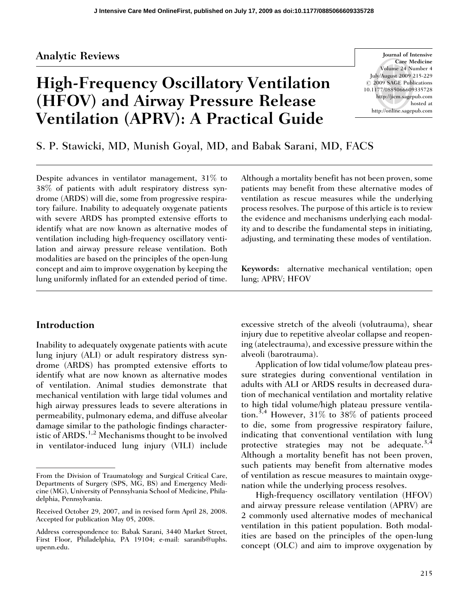# Analytic Reviews

# High-Frequency Oscillatory Ventilation (HFOV) and Airway Pressure Release Ventilation (APRV): A Practical Guide

Journal of Intensive Care Medicine Volume 24 Number 4 July/August 2009 215-229  $\odot$  2009 SAGE Publications 10.1177/0885066609335728 http://jicm.sagepub.com hosted at http://online.sagepub.com

S. P. Stawicki, MD, Munish Goyal, MD, and Babak Sarani, MD, FACS

Despite advances in ventilator management, 31% to 38% of patients with adult respiratory distress syndrome (ARDS) will die, some from progressive respiratory failure. Inability to adequately oxygenate patients with severe ARDS has prompted extensive efforts to identify what are now known as alternative modes of ventilation including high-frequency oscillatory ventilation and airway pressure release ventilation. Both modalities are based on the principles of the open-lung concept and aim to improve oxygenation by keeping the lung uniformly inflated for an extended period of time.

## Introduction

Inability to adequately oxygenate patients with acute lung injury (ALI) or adult respiratory distress syndrome (ARDS) has prompted extensive efforts to identify what are now known as alternative modes of ventilation. Animal studies demonstrate that mechanical ventilation with large tidal volumes and high airway pressures leads to severe alterations in permeability, pulmonary edema, and diffuse alveolar damage similar to the pathologic findings characteristic of ARDS.<sup>1,2</sup> Mechanisms thought to be involved in ventilator-induced lung injury (VILI) include

Although a mortality benefit has not been proven, some patients may benefit from these alternative modes of ventilation as rescue measures while the underlying process resolves. The purpose of this article is to review the evidence and mechanisms underlying each modality and to describe the fundamental steps in initiating, adjusting, and terminating these modes of ventilation.

Keywords: alternative mechanical ventilation; open lung; APRV; HFOV

excessive stretch of the alveoli (volutrauma), shear injury due to repetitive alveolar collapse and reopening (atelectrauma), and excessive pressure within the alveoli (barotrauma).

Application of low tidal volume/low plateau pressure strategies during conventional ventilation in adults with ALI or ARDS results in decreased duration of mechanical ventilation and mortality relative to high tidal volume/high plateau pressure ventilation.<sup>3,4</sup> However, 31% to 38% of patients proceed to die, some from progressive respiratory failure, indicating that conventional ventilation with lung protective strategies may not be adequate.<sup>3,4</sup> Although a mortality benefit has not been proven, such patients may benefit from alternative modes of ventilation as rescue measures to maintain oxygenation while the underlying process resolves.

High-frequency oscillatory ventilation (HFOV) and airway pressure release ventilation (APRV) are 2 commonly used alternative modes of mechanical ventilation in this patient population. Both modalities are based on the principles of the open-lung concept (OLC) and aim to improve oxygenation by

From the Division of Traumatology and Surgical Critical Care, Departments of Surgery (SPS, MG, BS) and Emergency Medicine (MG), University of Pennsylvania School of Medicine, Philadelphia, Pennsylvania.

Received October 29, 2007, and in revised form April 28, 2008. Accepted for publication May 05, 2008.

Address correspondence to: Babak Sarani, 3440 Market Street, First Floor, Philadelphia, PA 19104; e-mail: saranib@uphs. upenn.edu.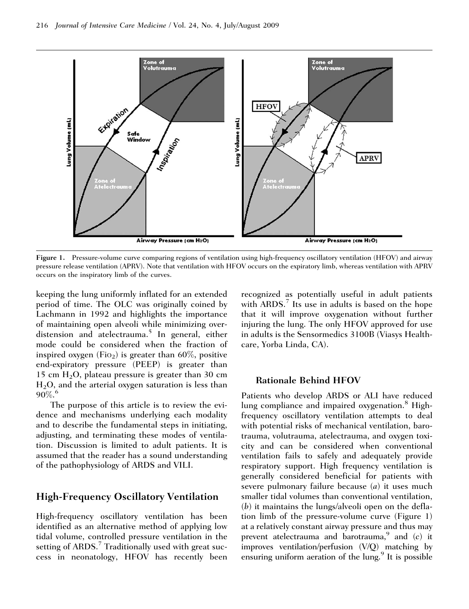

Figure 1. Pressure-volume curve comparing regions of ventilation using high-frequency oscillatory ventilation (HFOV) and airway pressure release ventilation (APRV). Note that ventilation with HFOV occurs on the expiratory limb, whereas ventilation with APRV occurs on the inspiratory limb of the curves.

keeping the lung uniformly inflated for an extended period of time. The OLC was originally coined by Lachmann in 1992 and highlights the importance of maintaining open alveoli while minimizing overdistension and atelectrauma.<sup>5</sup> In general, either mode could be considered when the fraction of inspired oxygen (Fio<sub>2</sub>) is greater than  $60\%$ , positive end-expiratory pressure (PEEP) is greater than 15 cm  $H_2O$ , plateau pressure is greater than 30 cm  $H<sub>2</sub>O$ , and the arterial oxygen saturation is less than  $90\%$ <sup>6</sup>

The purpose of this article is to review the evidence and mechanisms underlying each modality and to describe the fundamental steps in initiating, adjusting, and terminating these modes of ventilation. Discussion is limited to adult patients. It is assumed that the reader has a sound understanding of the pathophysiology of ARDS and VILI.

## High-Frequency Oscillatory Ventilation

High-frequency oscillatory ventilation has been identified as an alternative method of applying low tidal volume, controlled pressure ventilation in the setting of  $ARDS$ .<sup>7</sup> Traditionally used with great success in neonatology, HFOV has recently been recognized as potentially useful in adult patients with  $ARDS$ .<sup>7</sup> Its use in adults is based on the hope that it will improve oxygenation without further injuring the lung. The only HFOV approved for use in adults is the Sensormedics 3100B (Viasys Healthcare, Yorba Linda, CA).

#### Rationale Behind HFOV

Patients who develop ARDS or ALI have reduced lung compliance and impaired oxygenation.<sup>8</sup> Highfrequency oscillatory ventilation attempts to deal with potential risks of mechanical ventilation, barotrauma, volutrauma, atelectrauma, and oxygen toxicity and can be considered when conventional ventilation fails to safely and adequately provide respiratory support. High frequency ventilation is generally considered beneficial for patients with severe pulmonary failure because (a) it uses much smaller tidal volumes than conventional ventilation, (b) it maintains the lungs/alveoli open on the deflation limb of the pressure-volume curve (Figure 1) at a relatively constant airway pressure and thus may prevent atelectrauma and barotrauma, $9$  and (c) it improves ventilation/perfusion (V/Q) matching by ensuring uniform aeration of the  $\lim_{n \to \infty}$ <sup>9</sup> It is possible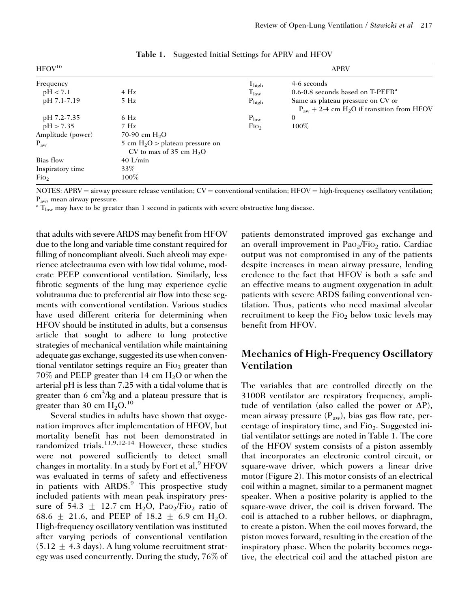| $HFOV^{10}$       |                                                                | <b>APRV</b>       |                                                                   |
|-------------------|----------------------------------------------------------------|-------------------|-------------------------------------------------------------------|
| Frequency         |                                                                | $T_{\rm high}$    | 4-6 seconds                                                       |
| pH < 7.1          | $4$ Hz                                                         | $T_{low}$         | 0.6-0.8 seconds based on $T-PEFR^a$                               |
| pH 7.1-7.19       | $5$ Hz                                                         | $P_{\text{high}}$ | Same as plateau pressure on CV or                                 |
|                   |                                                                |                   | $P_{\text{aw}} + 2-4$ cm H <sub>2</sub> O if transition from HFOV |
| pH 7.2-7.35       | $6$ Hz                                                         | $P_{low}$         | $\mathbf{0}$                                                      |
| pH > 7.35         | $7$ Hz                                                         | Fio <sub>2</sub>  | $100\%$                                                           |
| Amplitude (power) | 70-90 cm $H_2O$                                                |                   |                                                                   |
| $P_{aw}$          | 5 cm $H_2O$ > plateau pressure on<br>CV to max of 35 cm $H_2O$ |                   |                                                                   |
| Bias flow         | $40$ L/min                                                     |                   |                                                                   |
| Inspiratory time  | $33\%$                                                         |                   |                                                                   |
| FiO <sub>2</sub>  | $100\%$                                                        |                   |                                                                   |

Table 1. Suggested Initial Settings for APRV and HFOV

NOTES: APRV = airway pressure release ventilation;  $CV =$  conventional ventilation; HFOV = high-frequency oscillatory ventilation;  $P_{\text{aw}}$ , mean airway pressure.<br><sup>a</sup> T<sub>low</sub> may have to be greater than 1 second in patients with severe obstructive lung disease.

that adults with severe ARDS may benefit from HFOV due to the long and variable time constant required for filling of noncompliant alveoli. Such alveoli may experience atelectrauma even with low tidal volume, moderate PEEP conventional ventilation. Similarly, less fibrotic segments of the lung may experience cyclic volutrauma due to preferential air flow into these segments with conventional ventilation. Various studies have used different criteria for determining when HFOV should be instituted in adults, but a consensus article that sought to adhere to lung protective strategies of mechanical ventilation while maintaining adequate gas exchange, suggested its use when conventional ventilator settings require an  $Fio<sub>2</sub>$  greater than  $70\%$  and PEEP greater than 14 cm  $H_2O$  or when the arterial pH is less than 7.25 with a tidal volume that is greater than 6 cm<sup>3</sup>/kg and a plateau pressure that is greater than 30 cm  $H_2O$ .<sup>10</sup>

Several studies in adults have shown that oxygenation improves after implementation of HFOV, but mortality benefit has not been demonstrated in randomized trials.<sup>11,9,12-14</sup> However, these studies were not powered sufficiently to detect small changes in mortality. In a study by Fort et al,  $9$  HFOV was evaluated in terms of safety and effectiveness in patients with ARDS.<sup>9</sup> This prospective study included patients with mean peak inspiratory pressure of 54.3  $\pm$  12.7 cm H<sub>2</sub>O, Pao<sub>2</sub>/Fio<sub>2</sub> ratio of 68.6  $\pm$  21.6, and PEEP of 18.2  $\pm$  6.9 cm H<sub>2</sub>O. High-frequency oscillatory ventilation was instituted after varying periods of conventional ventilation  $(5.12 \pm 4.3 \text{ days})$ . A lung volume recruitment strategy was used concurrently. During the study, 76% of patients demonstrated improved gas exchange and an overall improvement in  $PaO<sub>2</sub>/FiO<sub>2</sub>$  ratio. Cardiac output was not compromised in any of the patients despite increases in mean airway pressure, lending credence to the fact that HFOV is both a safe and an effective means to augment oxygenation in adult patients with severe ARDS failing conventional ventilation. Thus, patients who need maximal alveolar recruitment to keep the  $Fio<sub>2</sub>$  below toxic levels may benefit from HFOV.

# Mechanics of High-Frequency Oscillatory Ventilation

The variables that are controlled directly on the 3100B ventilator are respiratory frequency, amplitude of ventilation (also called the power or  $\Delta P$ ), mean airway pressure  $(P_{aw})$ , bias gas flow rate, percentage of inspiratory time, and  $Fio<sub>2</sub>$ . Suggested initial ventilator settings are noted in Table 1. The core of the HFOV system consists of a piston assembly that incorporates an electronic control circuit, or square-wave driver, which powers a linear drive motor (Figure 2). This motor consists of an electrical coil within a magnet, similar to a permanent magnet speaker. When a positive polarity is applied to the square-wave driver, the coil is driven forward. The coil is attached to a rubber bellows, or diaphragm, to create a piston. When the coil moves forward, the piston moves forward, resulting in the creation of the inspiratory phase. When the polarity becomes negative, the electrical coil and the attached piston are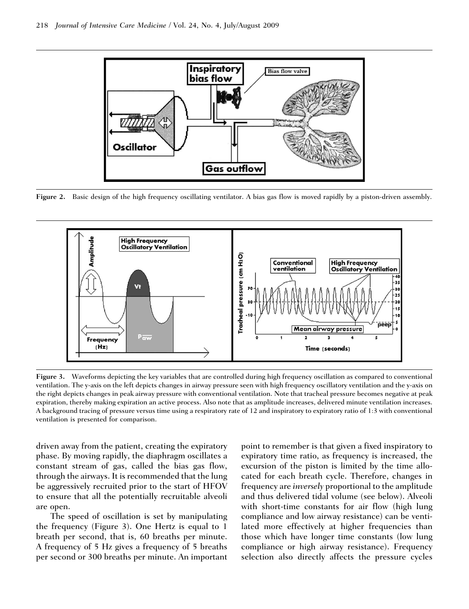

Figure 2. Basic design of the high frequency oscillating ventilator. A bias gas flow is moved rapidly by a piston-driven assembly.



Figure 3. Waveforms depicting the key variables that are controlled during high frequency oscillation as compared to conventional ventilation. The y-axis on the left depicts changes in airway pressure seen with high frequency oscillatory ventilation and the y-axis on the right depicts changes in peak airway pressure with conventional ventilation. Note that tracheal pressure becomes negative at peak expiration, thereby making expiration an active process. Also note that as amplitude increases, delivered minute ventilation increases. A background tracing of pressure versus time using a respiratory rate of 12 and inspiratory to expiratory ratio of 1:3 with conventional ventilation is presented for comparison.

driven away from the patient, creating the expiratory phase. By moving rapidly, the diaphragm oscillates a constant stream of gas, called the bias gas flow, through the airways. It is recommended that the lung be aggressively recruited prior to the start of HFOV to ensure that all the potentially recruitable alveoli are open.

The speed of oscillation is set by manipulating the frequency (Figure 3). One Hertz is equal to 1 breath per second, that is, 60 breaths per minute. A frequency of 5 Hz gives a frequency of 5 breaths per second or 300 breaths per minute. An important point to remember is that given a fixed inspiratory to expiratory time ratio, as frequency is increased, the excursion of the piston is limited by the time allocated for each breath cycle. Therefore, changes in frequency are inversely proportional to the amplitude and thus delivered tidal volume (see below). Alveoli with short-time constants for air flow (high lung compliance and low airway resistance) can be ventilated more effectively at higher frequencies than those which have longer time constants (low lung compliance or high airway resistance). Frequency selection also directly affects the pressure cycles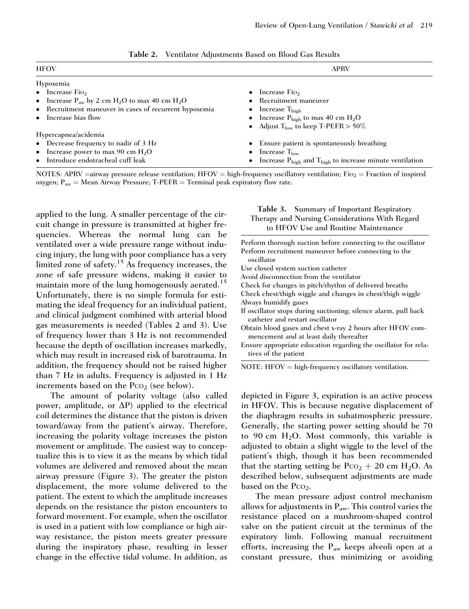| <b>HFOV</b>                                            | <b>APRV</b>                                                                     |  |  |
|--------------------------------------------------------|---------------------------------------------------------------------------------|--|--|
| Hypoxemia                                              |                                                                                 |  |  |
| $\bullet$ Increase Fio <sub>2</sub>                    | Increase Fio<br>$\bullet$                                                       |  |  |
| • Increase $P_{aw}$ by 2 cm $H_2O$ to max 40 cm $H_2O$ | Recruitment maneuver                                                            |  |  |
| • Recruitment maneuver in cases of recurrent hypoxemia | Increase $T_{\text{high}}$<br>$\bullet$                                         |  |  |
| • Increase bias flow                                   | • Increase $P_{\text{high}}$ to max 40 cm $H_2O$                                |  |  |
|                                                        | • Adjust $T_{low}$ to keep T-PEFR > 50%                                         |  |  |
| Hypercapnea/acidemia                                   |                                                                                 |  |  |
| • Decrease frequency to nadir of 3 Hz                  | • Ensure patient is spontaneously breathing                                     |  |  |
| • Increase power to max 90 cm $H_2O$                   | Increase $T_{low}$<br>$\bullet$                                                 |  |  |
| • Introduce endotracheal cuff leak                     | Increase $P_{\text{high}}$ and $T_{\text{high}}$ to increase minute ventilation |  |  |

Table 2. Ventilator Adjustments Based on Blood Gas Results

NOTES: APRV = airway pressure release ventilation; HFOV = high-frequency oscillatory ventilation; Fio<sub>2</sub> = Fraction of inspired oxygen;  $P_{aw}$  = Mean Airway Pressure; T-PEFR = Terminal peak expiratory flow rate.

applied to the lung. A smaller percentage of the circuit change in pressure is transmitted at higher frequencies. Whereas the normal lung can be ventilated over a wide pressure range without inducing injury, the lung with poor compliance has a very limited zone of safety.15 As frequency increases, the zone of safe pressure widens, making it easier to maintain more of the lung homogenously aerated.<sup>15</sup> Unfortunately, there is no simple formula for estimating the ideal frequency for an individual patient, and clinical judgment combined with arterial blood gas measurements is needed (Tables 2 and 3). Use of frequency lower than 3 Hz is not recommended because the depth of oscillation increases markedly, which may result in increased risk of barotrauma. In addition, the frequency should not be raised higher than 7 Hz in adults. Frequency is adjusted in 1 Hz increments based on the  $PCO<sub>2</sub>$  (see below).

The amount of polarity voltage (also called power, amplitude, or  $\Delta P$ ) applied to the electrical coil determines the distance that the piston is driven toward/away from the patient's airway. Therefore, increasing the polarity voltage increases the piston movement or amplitude. The easiest way to conceptualize this is to view it as the means by which tidal volumes are delivered and removed about the mean airway pressure (Figure 3). The greater the piston displacement, the more volume delivered to the patient. The extent to which the amplitude increases depends on the resistance the piston encounters to forward movement. For example, when the oscillator is used in a patient with low compliance or high airway resistance, the piston meets greater pressure during the inspiratory phase, resulting in lesser change in the effective tidal volume. In addition, as

#### Table 3. Summary of Important Respiratory Therapy and Nursing Considerations With Regard to HFOV Use and Routine Maintenance

| Perform thorough suction before connecting to the oscillator    |
|-----------------------------------------------------------------|
| Perform recruitment maneuver before connecting to the           |
| oscillator                                                      |
| Use closed system suction catheter                              |
| Avoid disconnection from the ventilator                         |
| Check for changes in pitch/rhythm of delivered breaths          |
| Check chest/thigh wiggle and changes in chest/thigh wiggle      |
| Always humidify gases                                           |
| If oscillator stops during suctioning; silence alarm, pull back |
| catheter and restart oscillator                                 |
| Obtain blood gases and chest x-ray 2 hours after HFOV com-      |
| mencement and at least daily thereafter                         |
| Ensure appropriate education regarding the oscillator for rela- |
| tives of the patient                                            |

 $NOTE: HFOV = high-frequency oscillatory$  ventilation.

depicted in Figure 3, expiration is an active process in HFOV. This is because negative displacement of the diaphragm results in subatmospheric pressure. Generally, the starting power setting should be 70 to 90 cm  $H_2O$ . Most commonly, this variable is adjusted to obtain a slight wiggle to the level of the patient's thigh, though it has been recommended that the starting setting be  $P_{C_2}$  + 20 cm H<sub>2</sub>O. As described below, subsequent adjustments are made based on the  $PCO<sub>2</sub>$ .

The mean pressure adjust control mechanism allows for adjustments in  $P_{aw}$ . This control varies the resistance placed on a mushroom-shaped control valve on the patient circuit at the terminus of the expiratory limb. Following manual recruitment efforts, increasing the  $P_{aw}$  keeps alveoli open at a constant pressure, thus minimizing or avoiding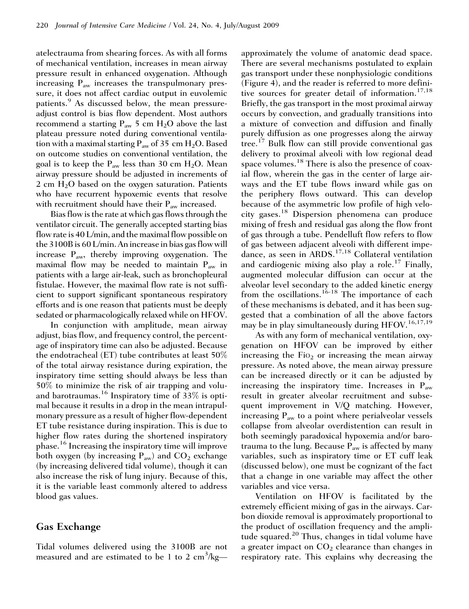atelectrauma from shearing forces. As with all forms of mechanical ventilation, increases in mean airway pressure result in enhanced oxygenation. Although increasing  $P_{aw}$  increases the transpulmonary pressure, it does not affect cardiac output in euvolemic patients.<sup>9</sup> As discussed below, the mean pressureadjust control is bias flow dependent. Most authors recommend a starting  $P_{aw}$  5 cm  $H_2O$  above the last plateau pressure noted during conventional ventilation with a maximal starting  $P_{aw}$  of 35 cm  $H_2O$ . Based on outcome studies on conventional ventilation, the goal is to keep the  $P_{aw}$  less than 30 cm  $H_2O$ . Mean airway pressure should be adjusted in increments of 2 cm  $H<sub>2</sub>O$  based on the oxygen saturation. Patients who have recurrent hypoxemic events that resolve with recruitment should have their  $P_{aw}$  increased.

Bias flow is the rate at which gas flows through the ventilator circuit. The generally accepted starting bias flow rate is 40 L/min, and the maximal flow possible on the 3100B is 60 L/min. An increase in bias gas flow will increase  $P_{\text{aw}}$ , thereby improving oxygenation. The maximal flow may be needed to maintain  $P_{aw}$  in patients with a large air-leak, such as bronchopleural fistulae. However, the maximal flow rate is not sufficient to support significant spontaneous respiratory efforts and is one reason that patients must be deeply sedated or pharmacologically relaxed while on HFOV.

In conjunction with amplitude, mean airway adjust, bias flow, and frequency control, the percentage of inspiratory time can also be adjusted. Because the endotracheal (ET) tube contributes at least 50% of the total airway resistance during expiration, the inspiratory time setting should always be less than 50% to minimize the risk of air trapping and voluand barotraumas.<sup>16</sup> Inspiratory time of 33% is optimal because it results in a drop in the mean intrapulmonary pressure as a result of higher flow-dependent ET tube resistance during inspiration. This is due to higher flow rates during the shortened inspiratory phase.<sup>16</sup> Increasing the inspiratory time will improve both oxygen (by increasing  $P_{aw}$ ) and  $CO_2$  exchange (by increasing delivered tidal volume), though it can also increase the risk of lung injury. Because of this, it is the variable least commonly altered to address blood gas values.

## Gas Exchange

Tidal volumes delivered using the 3100B are not measured and are estimated to be 1 to 2 cm<sup>3</sup>/kgapproximately the volume of anatomic dead space. There are several mechanisms postulated to explain gas transport under these nonphysiologic conditions (Figure 4), and the reader is referred to more definitive sources for greater detail of information.<sup>17,18</sup> Briefly, the gas transport in the most proximal airway occurs by convection, and gradually transitions into a mixture of convection and diffusion and finally purely diffusion as one progresses along the airway tree.<sup>17</sup> Bulk flow can still provide conventional gas delivery to proximal alveoli with low regional dead space volumes.<sup>18</sup> There is also the presence of coaxial flow, wherein the gas in the center of large airways and the ET tube flows inward while gas on the periphery flows outward. This can develop because of the asymmetric low profile of high velocity gases.<sup>18</sup> Dispersion phenomena can produce mixing of fresh and residual gas along the flow front of gas through a tube. Pendelluft flow refers to flow of gas between adjacent alveoli with different impedance, as seen in ARDS.<sup>17,18</sup> Collateral ventilation and cardiogenic mixing also play a role.<sup>17</sup> Finally, augmented molecular diffusion can occur at the alveolar level secondary to the added kinetic energy from the oscillations.<sup>16-18</sup> The importance of each of these mechanisms is debated, and it has been suggested that a combination of all the above factors may be in play simultaneously during HFOV.<sup>16,17,19</sup>

As with any form of mechanical ventilation, oxygenation on HFOV can be improved by either increasing the  $Fio<sub>2</sub>$  or increasing the mean airway pressure. As noted above, the mean airway pressure can be increased directly or it can be adjusted by increasing the inspiratory time. Increases in  $P_{aw}$ result in greater alveolar recruitment and subsequent improvement in V/Q matching. However, increasing  $P_{\text{aw}}$  to a point where perialveolar vessels collapse from alveolar overdistention can result in both seemingly paradoxical hypoxemia and/or barotrauma to the lung. Because  $P_{aw}$  is affected by many variables, such as inspiratory time or ET cuff leak (discussed below), one must be cognizant of the fact that a change in one variable may affect the other variables and vice versa.

Ventilation on HFOV is facilitated by the extremely efficient mixing of gas in the airways. Carbon dioxide removal is approximately proportional to the product of oscillation frequency and the amplitude squared.<sup>20</sup> Thus, changes in tidal volume have a greater impact on  $CO<sub>2</sub>$  clearance than changes in respiratory rate. This explains why decreasing the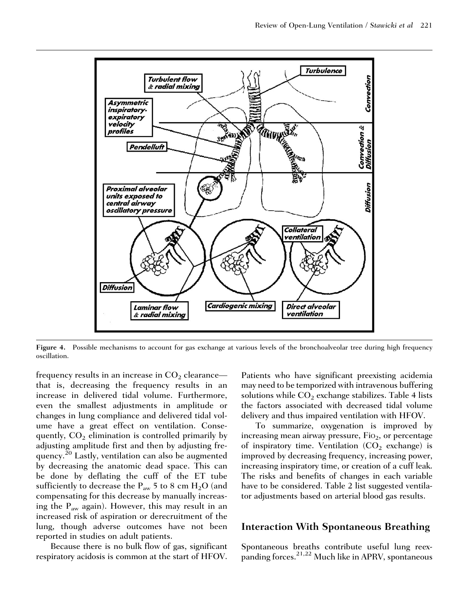

Figure 4. Possible mechanisms to account for gas exchange at various levels of the bronchoalveolar tree during high frequency oscillation.

frequency results in an increase in  $CO<sub>2</sub>$  clearance that is, decreasing the frequency results in an increase in delivered tidal volume. Furthermore, even the smallest adjustments in amplitude or changes in lung compliance and delivered tidal volume have a great effect on ventilation. Consequently,  $CO<sub>2</sub>$  elimination is controlled primarily by adjusting amplitude first and then by adjusting frequency.<sup>20</sup> Lastly, ventilation can also be augmented by decreasing the anatomic dead space. This can be done by deflating the cuff of the ET tube sufficiently to decrease the  $P_{aw}$  5 to 8 cm H<sub>2</sub>O (and compensating for this decrease by manually increasing the  $P_{aw}$  again). However, this may result in an increased risk of aspiration or derecruitment of the lung, though adverse outcomes have not been reported in studies on adult patients.

Because there is no bulk flow of gas, significant respiratory acidosis is common at the start of HFOV. Patients who have significant preexisting acidemia may need to be temporized with intravenous buffering solutions while  $CO<sub>2</sub>$  exchange stabilizes. Table 4 lists the factors associated with decreased tidal volume delivery and thus impaired ventilation with HFOV.

To summarize, oxygenation is improved by increasing mean airway pressure,  $Fio<sub>2</sub>$ , or percentage of inspiratory time. Ventilation  $(CO_2)$  exchange) is improved by decreasing frequency, increasing power, increasing inspiratory time, or creation of a cuff leak. The risks and benefits of changes in each variable have to be considered. Table 2 list suggested ventilator adjustments based on arterial blood gas results.

#### Interaction With Spontaneous Breathing

Spontaneous breaths contribute useful lung reexpanding forces.<sup>21,22</sup> Much like in APRV, spontaneous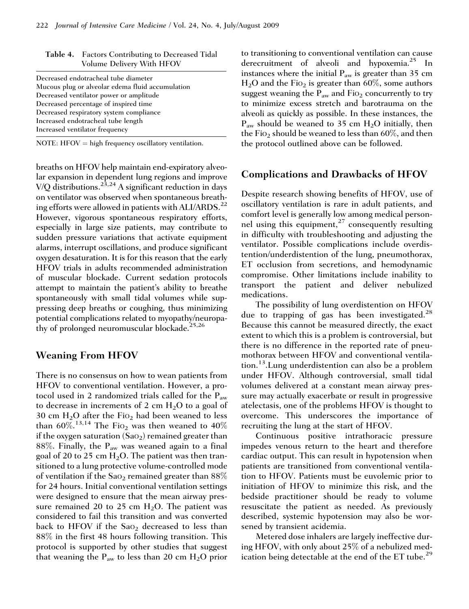| Decreased endotracheal tube diameter             |
|--------------------------------------------------|
| Mucous plug or alveolar edema fluid accumulation |
| Decreased ventilator power or amplitude          |
| Decreased percentage of inspired time            |
| Decreased respiratory system compliance          |
| Increased endotracheal tube length               |
| Increased ventilator frequency                   |
|                                                  |

Table 4. Factors Contributing to Decreased Tidal Volume Delivery With HFOV

NOTE: HFOV  $=$  high frequency oscillatory ventilation.

breaths on HFOV help maintain end-expiratory alveolar expansion in dependent lung regions and improve  $V/O$  distributions.<sup>23,24</sup> A significant reduction in days on ventilator was observed when spontaneous breathing efforts were allowed in patients with ALI/ARDS.<sup>22</sup> However, vigorous spontaneous respiratory efforts, especially in large size patients, may contribute to sudden pressure variations that activate equipment alarms, interrupt oscillations, and produce significant oxygen desaturation. It is for this reason that the early HFOV trials in adults recommended administration of muscular blockade. Current sedation protocols attempt to maintain the patient's ability to breathe spontaneously with small tidal volumes while suppressing deep breaths or coughing, thus minimizing potential complications related to myopathy/neuropathy of prolonged neuromuscular blockade.<sup>25,26</sup>

## Weaning From HFOV

There is no consensus on how to wean patients from HFOV to conventional ventilation. However, a protocol used in 2 randomized trials called for the  $P_{aw}$ to decrease in increments of 2 cm  $H_2O$  to a goal of 30 cm  $H_2O$  after the Fi $o_2$  had been weaned to less than  $60\%$ .<sup>13,14</sup> The Fio<sub>2</sub> was then weaned to 40% if the oxygen saturation  $(Sao<sub>2</sub>)$  remained greater than 88%. Finally, the  $P_{aw}$  was weaned again to a final goal of 20 to 25 cm  $H_2O$ . The patient was then transitioned to a lung protective volume-controlled mode of ventilation if the  $Sao_2$  remained greater than  $88\%$ for 24 hours. Initial conventional ventilation settings were designed to ensure that the mean airway pressure remained 20 to 25 cm  $H_2O$ . The patient was considered to fail this transition and was converted back to HFOV if the SaO<sub>2</sub> decreased to less than 88% in the first 48 hours following transition. This protocol is supported by other studies that suggest that weaning the  $P_{aw}$  to less than 20 cm  $H_2O$  prior to transitioning to conventional ventilation can cause derecruitment of alveoli and hypoxemia.<sup>25</sup> In instances where the initial  $P_{aw}$  is greater than 35 cm  $H<sub>2</sub>O$  and the Fio<sub>2</sub> is greater than 60%, some authors suggest weaning the  $P_{aw}$  and  $Fio_2$  concurrently to try to minimize excess stretch and barotrauma on the alveoli as quickly as possible. In these instances, the  $P_{\text{aw}}$  should be weaned to 35 cm  $H_2O$  initially, then the Fio<sub>2</sub> should be weaned to less than  $60\%$ , and then the protocol outlined above can be followed.

## Complications and Drawbacks of HFOV

Despite research showing benefits of HFOV, use of oscillatory ventilation is rare in adult patients, and comfort level is generally low among medical personnel using this equipment, $27$  consequently resulting in difficulty with troubleshooting and adjusting the ventilator. Possible complications include overdistention/underdistention of the lung, pneumothorax, ET occlusion from secretions, and hemodynamic compromise. Other limitations include inability to transport the patient and deliver nebulized medications.

The possibility of lung overdistention on HFOV due to trapping of gas has been investigated.<sup>28</sup> Because this cannot be measured directly, the exact extent to which this is a problem is controversial, but there is no difference in the reported rate of pneumothorax between HFOV and conventional ventilation.13.Lung underdistention can also be a problem under HFOV. Although controversial, small tidal volumes delivered at a constant mean airway pressure may actually exacerbate or result in progressive atelectasis, one of the problems HFOV is thought to overcome. This underscores the importance of recruiting the lung at the start of HFOV.

Continuous positive intrathoracic pressure impedes venous return to the heart and therefore cardiac output. This can result in hypotension when patients are transitioned from conventional ventilation to HFOV. Patients must be euvolemic prior to initiation of HFOV to minimize this risk, and the bedside practitioner should be ready to volume resuscitate the patient as needed. As previously described, systemic hypotension may also be worsened by transient acidemia.

Metered dose inhalers are largely ineffective during HFOV, with only about 25% of a nebulized medication being detectable at the end of the ET tube.<sup>29</sup>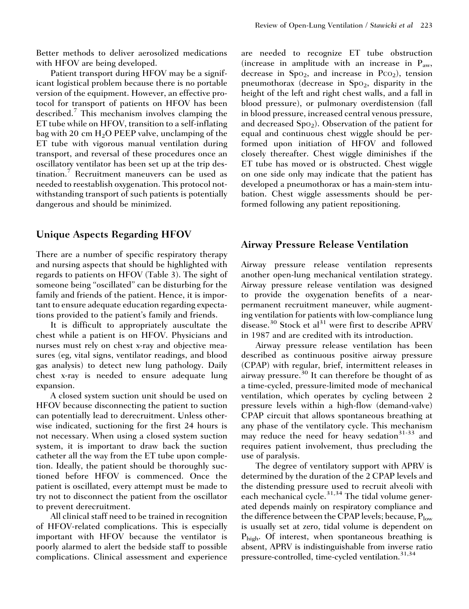Better methods to deliver aerosolized medications with HFOV are being developed.

Patient transport during HFOV may be a significant logistical problem because there is no portable version of the equipment. However, an effective protocol for transport of patients on HFOV has been described.<sup>7</sup> This mechanism involves clamping the ET tube while on HFOV, transition to a self-inflating bag with 20 cm  $H<sub>2</sub>O$  PEEP valve, unclamping of the ET tube with vigorous manual ventilation during transport, and reversal of these procedures once an oscillatory ventilator has been set up at the trip destination.<sup>7</sup> Recruitment maneuvers can be used as needed to reestablish oxygenation. This protocol notwithstanding transport of such patients is potentially dangerous and should be minimized.

## Unique Aspects Regarding HFOV

There are a number of specific respiratory therapy and nursing aspects that should be highlighted with regards to patients on HFOV (Table 3). The sight of someone being ''oscillated'' can be disturbing for the family and friends of the patient. Hence, it is important to ensure adequate education regarding expectations provided to the patient's family and friends.

It is difficult to appropriately auscultate the chest while a patient is on HFOV. Physicians and nurses must rely on chest x-ray and objective measures (eg, vital signs, ventilator readings, and blood gas analysis) to detect new lung pathology. Daily chest x-ray is needed to ensure adequate lung expansion.

A closed system suction unit should be used on HFOV because disconnecting the patient to suction can potentially lead to derecruitment. Unless otherwise indicated, suctioning for the first 24 hours is not necessary. When using a closed system suction system, it is important to draw back the suction catheter all the way from the ET tube upon completion. Ideally, the patient should be thoroughly suctioned before HFOV is commenced. Once the patient is oscillated, every attempt must be made to try not to disconnect the patient from the oscillator to prevent derecruitment.

All clinical staff need to be trained in recognition of HFOV-related complications. This is especially important with HFOV because the ventilator is poorly alarmed to alert the bedside staff to possible complications. Clinical assessment and experience are needed to recognize ET tube obstruction (increase in amplitude with an increase in  $P_{aw}$ , decrease in  $Spo<sub>2</sub>$ , and increase in  $Pco<sub>2</sub>$ ), tension pneumothorax (decrease in  $Spo<sub>2</sub>$ , disparity in the height of the left and right chest walls, and a fall in blood pressure), or pulmonary overdistension (fall in blood pressure, increased central venous pressure, and decreased  $Spo<sub>2</sub>$ ). Observation of the patient for equal and continuous chest wiggle should be performed upon initiation of HFOV and followed closely thereafter. Chest wiggle diminishes if the ET tube has moved or is obstructed. Chest wiggle on one side only may indicate that the patient has developed a pneumothorax or has a main-stem intubation. Chest wiggle assessments should be performed following any patient repositioning.

## Airway Pressure Release Ventilation

Airway pressure release ventilation represents another open-lung mechanical ventilation strategy. Airway pressure release ventilation was designed to provide the oxygenation benefits of a nearpermanent recruitment maneuver, while augmenting ventilation for patients with low-compliance lung disease.<sup>30</sup> Stock et al<sup>31</sup> were first to describe APRV in 1987 and are credited with its introduction.

Airway pressure release ventilation has been described as continuous positive airway pressure (CPAP) with regular, brief, intermittent releases in airway pressure.<sup>30</sup> It can therefore be thought of as a time-cycled, pressure-limited mode of mechanical ventilation, which operates by cycling between 2 pressure levels within a high-flow (demand-valve) CPAP circuit that allows spontaneous breathing at any phase of the ventilatory cycle. This mechanism may reduce the need for heavy sedation<sup>31-33</sup> and requires patient involvement, thus precluding the use of paralysis.

The degree of ventilatory support with APRV is determined by the duration of the 2 CPAP levels and the distending pressure used to recruit alveoli with each mechanical cycle. $31,34$  The tidal volume generated depends mainly on respiratory compliance and the difference between the CPAP levels; because,  $P_{low}$ is usually set at zero, tidal volume is dependent on P<sub>high</sub>. Of interest, when spontaneous breathing is absent, APRV is indistinguishable from inverse ratio pressure-controlled, time-cycled ventilation.<sup>31,34</sup>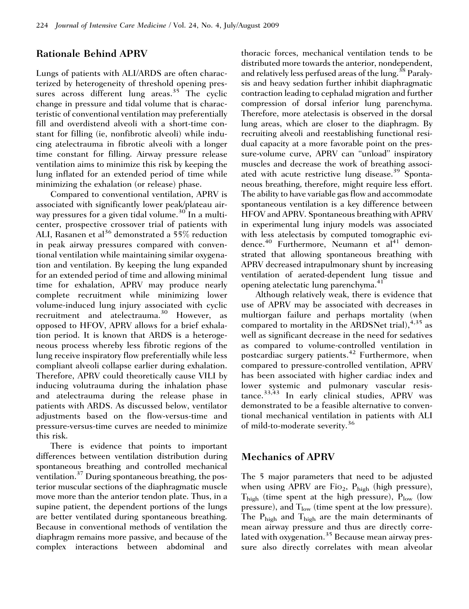## Rationale Behind APRV

Lungs of patients with ALI/ARDS are often characterized by heterogeneity of threshold opening pressures across different lung areas. $35$  The cyclic change in pressure and tidal volume that is characteristic of conventional ventilation may preferentially fill and overdistend alveoli with a short-time constant for filling (ie, nonfibrotic alveoli) while inducing atelectrauma in fibrotic alveoli with a longer time constant for filling. Airway pressure release ventilation aims to minimize this risk by keeping the lung inflated for an extended period of time while minimizing the exhalation (or release) phase.

Compared to conventional ventilation, APRV is associated with significantly lower peak/plateau airway pressures for a given tidal volume.<sup>30</sup> In a multicenter, prospective crossover trial of patients with ALI, Rasanen et al<sup>36</sup> demonstrated a 55% reduction in peak airway pressures compared with conventional ventilation while maintaining similar oxygenation and ventilation. By keeping the lung expanded for an extended period of time and allowing minimal time for exhalation, APRV may produce nearly complete recruitment while minimizing lower volume-induced lung injury associated with cyclic recruitment and atelectrauma.<sup>30</sup> However, as opposed to HFOV, APRV allows for a brief exhalation period. It is known that ARDS is a heterogeneous process whereby less fibrotic regions of the lung receive inspiratory flow preferentially while less compliant alveoli collapse earlier during exhalation. Therefore, APRV could theoretically cause VILI by inducing volutrauma during the inhalation phase and atelectrauma during the release phase in patients with ARDS. As discussed below, ventilator adjustments based on the flow-versus-time and pressure-versus-time curves are needed to minimize this risk.

There is evidence that points to important differences between ventilation distribution during spontaneous breathing and controlled mechanical ventilation.37 During spontaneous breathing, the posterior muscular sections of the diaphragmatic muscle move more than the anterior tendon plate. Thus, in a supine patient, the dependent portions of the lungs are better ventilated during spontaneous breathing. Because in conventional methods of ventilation the diaphragm remains more passive, and because of the complex interactions between abdominal and thoracic forces, mechanical ventilation tends to be distributed more towards the anterior, nondependent, and relatively less perfused areas of the lung.<sup>38</sup> Paralysis and heavy sedation further inhibit diaphragmatic contraction leading to cephalad migration and further compression of dorsal inferior lung parenchyma. Therefore, more atelectasis is observed in the dorsal lung areas, which are closer to the diaphragm. By recruiting alveoli and reestablishing functional residual capacity at a more favorable point on the pressure-volume curve, APRV can ''unload'' inspiratory muscles and decrease the work of breathing associated with acute restrictive lung disease.<sup>39</sup> Spontaneous breathing, therefore, might require less effort. The ability to have variable gas flow and accommodate spontaneous ventilation is a key difference between HFOV and APRV. Spontaneous breathing with APRV in experimental lung injury models was associated with less atelectasis by computed tomographic evidence.<sup>40</sup> Furthermore, Neumann et al<sup>41</sup> demonstrated that allowing spontaneous breathing with APRV decreased intrapulmonary shunt by increasing ventilation of aerated-dependent lung tissue and opening atelectatic lung parenchyma.<sup>41</sup>

Although relatively weak, there is evidence that use of APRV may be associated with decreases in multiorgan failure and perhaps mortality (when compared to mortality in the ARDSNet trial),  $4,35$  as well as significant decrease in the need for sedatives as compared to volume-controlled ventilation in postcardiac surgery patients.<sup>42</sup> Furthermore, when compared to pressure-controlled ventilation, APRV has been associated with higher cardiac index and lower systemic and pulmonary vascular resistance.33,43 In early clinical studies, APRV was demonstrated to be a feasible alternative to conventional mechanical ventilation in patients with ALI of mild-to-moderate severity.<sup>36</sup>

## Mechanics of APRV

The 5 major parameters that need to be adjusted when using APRV are FiO<sub>2</sub>,  $P_{high}$  (high pressure),  $T_{\text{high}}$  (time spent at the high pressure),  $P_{\text{low}}$  (low pressure), and  $T_{\text{low}}$  (time spent at the low pressure). The  $P_{high}$  and  $T_{high}$  are the main determinants of mean airway pressure and thus are directly correlated with oxygenation. $35$  Because mean airway pressure also directly correlates with mean alveolar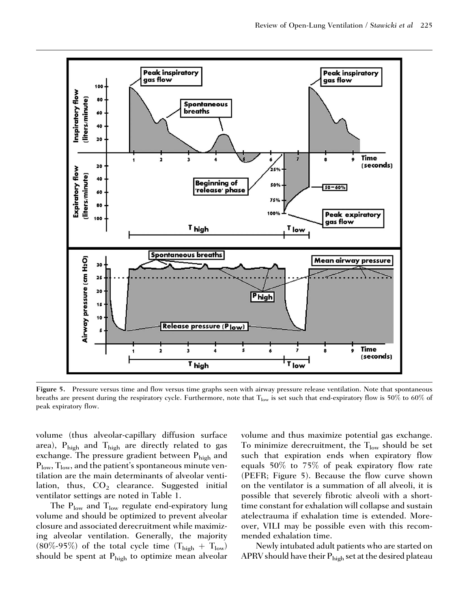

Figure 5. Pressure versus time and flow versus time graphs seen with airway pressure release ventilation. Note that spontaneous breaths are present during the respiratory cycle. Furthermore, note that T<sub>low</sub> is set such that end-expiratory flow is 50% to 60% of peak expiratory flow.

volume (thus alveolar-capillary diffusion surface area),  $\rm P_{high}$  and  $\rm T_{high}$  are directly related to gas exchange. The pressure gradient between  $P_{\text{high}}$  and  $P_{low}$ ,  $T_{low}$ , and the patient's spontaneous minute ventilation are the main determinants of alveolar ventilation, thus,  $CO<sub>2</sub>$  clearance. Suggested initial ventilator settings are noted in Table 1.

The  $P_{\text{low}}$  and  $T_{\text{low}}$  regulate end-expiratory lung volume and should be optimized to prevent alveolar closure and associated derecruitment while maximizing alveolar ventilation. Generally, the majority (80%-95%) of the total cycle time  $(T_{\text{high}} + T_{\text{low}})$ should be spent at  $P_{\text{high}}$  to optimize mean alveolar volume and thus maximize potential gas exchange. To minimize derecruitment, the  $T_{low}$  should be set such that expiration ends when expiratory flow equals 50% to 75% of peak expiratory flow rate (PEFR; Figure 5). Because the flow curve shown on the ventilator is a summation of all alveoli, it is possible that severely fibrotic alveoli with a shorttime constant for exhalation will collapse and sustain atelectrauma if exhalation time is extended. Moreover, VILI may be possible even with this recommended exhalation time.

Newly intubated adult patients who are started on APRV should have their  $P_{\text{high}}$  set at the desired plateau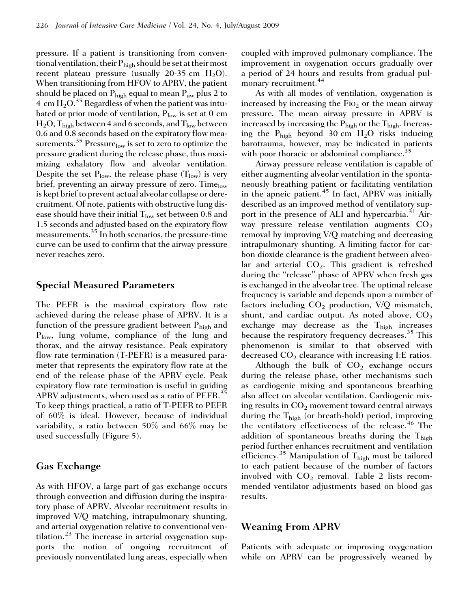pressure. If a patient is transitioning from conventional ventilation, their  $P_{high}$  should be set at their most recent plateau pressure (usually 20-35 cm  $H_2O$ ). When transitioning from HFOV to APRV, the patient should be placed on  $P_{high}$  equal to mean  $P_{aw}$  plus 2 to 4 cm  $H_2O^{35}$  Regardless of when the patient was intubated or prior mode of ventilation,  $P_{low}$  is set at 0 cm  $H_2O$ ,  $T_{\text{high}}$  between 4 and 6 seconds, and  $T_{\text{low}}$  between 0.6 and 0.8 seconds based on the expiratory flow measurements.<sup>35</sup> Pressure<sub>low</sub> is set to zero to optimize the pressure gradient during the release phase, thus maximizing exhalatory flow and alveolar ventilation. Despite the set  $P_{low}$ , the release phase  $(T_{low})$  is very brief, preventing an airway pressure of zero. Time $_{low}$ is kept brief to prevent actual alveolar collapse or derecruitment. Of note, patients with obstructive lung disease should have their initial  $T_{low}$  set between 0.8 and 1.5 seconds and adjusted based on the expiratory flow measurements.35 In both scenarios, the pressure-time curve can be used to confirm that the airway pressure never reaches zero.

## Special Measured Parameters

The PEFR is the maximal expiratory flow rate achieved during the release phase of APRV. It is a function of the pressure gradient between  $P_{\text{high}}$  and Plow, lung volume, compliance of the lung and thorax, and the airway resistance. Peak expiratory flow rate termination (T-PEFR) is a measured parameter that represents the expiratory flow rate at the end of the release phase of the APRV cycle. Peak expiratory flow rate termination is useful in guiding APRV adjustments, when used as a ratio of PEFR.<sup>35</sup> To keep things practical, a ratio of T-PEFR to PEFR of 60% is ideal. However, because of individual variability, a ratio between 50% and 66% may be used successfully (Figure 5).

## Gas Exchange

As with HFOV, a large part of gas exchange occurs through convection and diffusion during the inspiratory phase of APRV. Alveolar recruitment results in improved V/Q matching, intrapulmonary shunting, and arterial oxygenation relative to conventional ventilation. $^{23}$  The increase in arterial oxygenation supports the notion of ongoing recruitment of previously nonventilated lung areas, especially when coupled with improved pulmonary compliance. The improvement in oxygenation occurs gradually over a period of 24 hours and results from gradual pulmonary recruitment.<sup>44</sup>

As with all modes of ventilation, oxygenation is increased by increasing the  $Fio<sub>2</sub>$  or the mean airway pressure. The mean airway pressure in APRV is increased by increasing the  $P_{\text{high}}$  or the  $T_{\text{high}}$ . Increasing the  $P_{\text{high}}$  beyond 30 cm  $H_2O$  risks inducing barotrauma, however, may be indicated in patients with poor thoracic or abdominal compliance.<sup>35</sup>

Airway pressure release ventilation is capable of either augmenting alveolar ventilation in the spontaneously breathing patient or facilitating ventilation in the apneic patient. $45$  In fact, APRV was initially described as an improved method of ventilatory support in the presence of ALI and hypercarbia.<sup>31</sup> Airway pressure release ventilation augments  $CO<sub>2</sub>$ removal by improving V/Q matching and decreasing intrapulmonary shunting. A limiting factor for carbon dioxide clearance is the gradient between alveolar and arterial  $CO<sub>2</sub>$ . This gradient is refreshed during the ''release'' phase of APRV when fresh gas is exchanged in the alveolar tree. The optimal release frequency is variable and depends upon a number of factors including  $CO<sub>2</sub>$  production, V/Q mismatch, shunt, and cardiac output. As noted above,  $CO<sub>2</sub>$ exchange may decrease as the  $T_{\text{high}}$  increases because the respiratory frequency decreases.<sup>35</sup> This phenomenon is similar to that observed with decreased  $CO<sub>2</sub>$  clearance with increasing I:E ratios.

Although the bulk of  $CO<sub>2</sub>$  exchange occurs during the release phase, other mechanisms such as cardiogenic mixing and spontaneous breathing also affect on alveolar ventilation. Cardiogenic mixing results in  $CO<sub>2</sub>$  movement toward central airways during the  $T_{\text{high}}$  (or breath-hold) period, improving the ventilatory effectiveness of the release.<sup>46</sup> The addition of spontaneous breaths during the  $T_{\text{high}}$ period further enhances recruitment and ventilation efficiency.<sup>35</sup> Manipulation of T<sub>high</sub> must be tailored to each patient because of the number of factors involved with  $CO<sub>2</sub>$  removal. Table 2 lists recommended ventilator adjustments based on blood gas results.

#### Weaning From APRV

Patients with adequate or improving oxygenation while on APRV can be progressively weaned by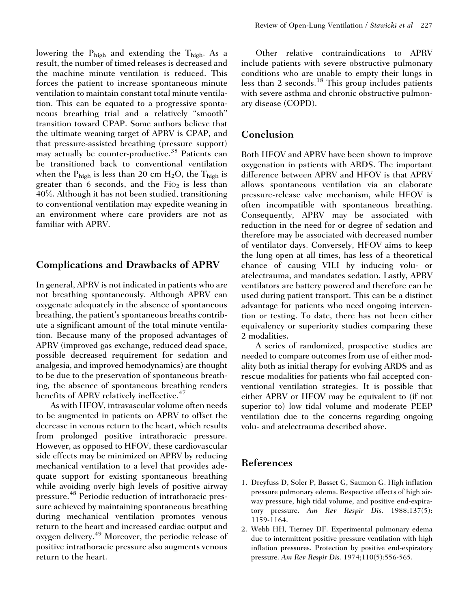lowering the  $P_{\text{high}}$  and extending the  $T_{\text{high}}$ . As a result, the number of timed releases is decreased and the machine minute ventilation is reduced. This forces the patient to increase spontaneous minute ventilation to maintain constant total minute ventilation. This can be equated to a progressive spontaneous breathing trial and a relatively ''smooth'' transition toward CPAP. Some authors believe that the ultimate weaning target of APRV is CPAP, and that pressure-assisted breathing (pressure support) may actually be counter-productive.<sup>35</sup> Patients can be transitioned back to conventional ventilation when the  $P_{\text{high}}$  is less than 20 cm H<sub>2</sub>O, the T<sub>high</sub> is greater than 6 seconds, and the  $Fio<sub>2</sub>$  is less than 40%. Although it has not been studied, transitioning to conventional ventilation may expedite weaning in an environment where care providers are not as familiar with APRV.

## Complications and Drawbacks of APRV

In general, APRV is not indicated in patients who are not breathing spontaneously. Although APRV can oxygenate adequately in the absence of spontaneous breathing, the patient's spontaneous breaths contribute a significant amount of the total minute ventilation. Because many of the proposed advantages of APRV (improved gas exchange, reduced dead space, possible decreased requirement for sedation and analgesia, and improved hemodynamics) are thought to be due to the preservation of spontaneous breathing, the absence of spontaneous breathing renders benefits of APRV relatively ineffective.<sup>47</sup>

As with HFOV, intravascular volume often needs to be augmented in patients on APRV to offset the decrease in venous return to the heart, which results from prolonged positive intrathoracic pressure. However, as opposed to HFOV, these cardiovascular side effects may be minimized on APRV by reducing mechanical ventilation to a level that provides adequate support for existing spontaneous breathing while avoiding overly high levels of positive airway pressure. <sup>48</sup> Periodic reduction of intrathoracic pressure achieved by maintaining spontaneous breathing during mechanical ventilation promotes venous return to the heart and increased cardiac output and oxygen delivery.<sup>49</sup> Moreover, the periodic release of positive intrathoracic pressure also augments venous return to the heart.

Other relative contraindications to APRV include patients with severe obstructive pulmonary conditions who are unable to empty their lungs in less than 2 seconds.<sup>18</sup> This group includes patients with severe asthma and chronic obstructive pulmonary disease (COPD).

## Conclusion

Both HFOV and APRV have been shown to improve oxygenation in patients with ARDS. The important difference between APRV and HFOV is that APRV allows spontaneous ventilation via an elaborate pressure-release valve mechanism, while HFOV is often incompatible with spontaneous breathing. Consequently, APRV may be associated with reduction in the need for or degree of sedation and therefore may be associated with decreased number of ventilator days. Conversely, HFOV aims to keep the lung open at all times, has less of a theoretical chance of causing VILI by inducing volu- or atelectrauma, and mandates sedation. Lastly, APRV ventilators are battery powered and therefore can be used during patient transport. This can be a distinct advantage for patients who need ongoing intervention or testing. To date, there has not been either equivalency or superiority studies comparing these 2 modalities.

A series of randomized, prospective studies are needed to compare outcomes from use of either modality both as initial therapy for evolving ARDS and as rescue modalities for patients who fail accepted conventional ventilation strategies. It is possible that either APRV or HFOV may be equivalent to (if not superior to) low tidal volume and moderate PEEP ventilation due to the concerns regarding ongoing volu- and atelectrauma described above.

## References

- 1. Dreyfuss D, Soler P, Basset G, Saumon G. High inflation pressure pulmonary edema. Respective effects of high airway pressure, high tidal volume, and positive end-expiratory pressure. Am Rev Respir Dis. 1988;137(5): 1159-1164.
- 2. Webb HH, Tierney DF. Experimental pulmonary edema due to intermittent positive pressure ventilation with high inflation pressures. Protection by positive end-expiratory pressure. Am Rev Respir Dis. 1974;110(5):556-565.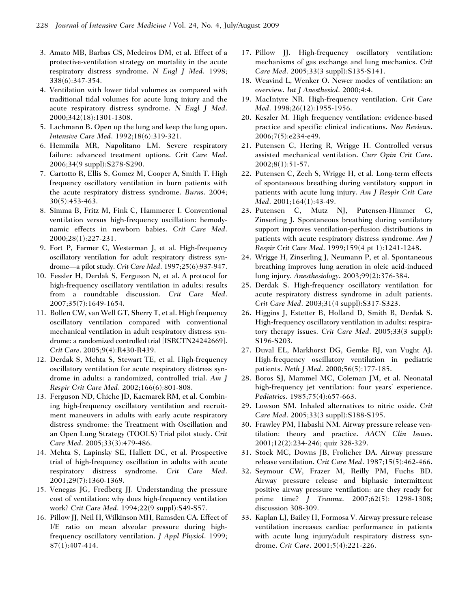- 3. Amato MB, Barbas CS, Medeiros DM, et al. Effect of a protective-ventilation strategy on mortality in the acute respiratory distress syndrome. N Engl J Med. 1998; 338(6):347-354.
- 4. Ventilation with lower tidal volumes as compared with traditional tidal volumes for acute lung injury and the acute respiratory distress syndrome. N Engl J Med. 2000;342(18):1301-1308.
- 5. Lachmann B. Open up the lung and keep the lung open. Intensive Care Med. 1992;18(6):319-321.
- 6. Hemmila MR, Napolitano LM. Severe respiratory failure: advanced treatment options. Crit Care Med. 2006;34(9 suppl):S278-S290.
- 7. Cartotto R, Ellis S, Gomez M, Cooper A, Smith T. High frequency oscillatory ventilation in burn patients with the acute respiratory distress syndrome. Burns. 2004; 30(5):453-463.
- 8. Simma B, Fritz M, Fink C, Hammerer I. Conventional ventilation versus high-frequency oscillation: hemodynamic effects in newborn babies. Crit Care Med. 2000;28(1):227-231.
- 9. Fort P, Farmer C, Westerman J, et al. High-frequency oscillatory ventilation for adult respiratory distress syndrome—a pilot study. Crit Care Med. 1997;25(6):937-947.
- 10. Fessler H, Derdak S, Ferguson N, et al. A protocol for high-frequency oscillatory ventilation in adults: results from a roundtable discussion. Crit Care Med. 2007;35(7):1649-1654.
- 11. Bollen CW, van Well GT, Sherry T, et al. High frequency oscillatory ventilation compared with conventional mechanical ventilation in adult respiratory distress syndrome: a randomized controlled trial [ISRCTN24242669]. Crit Care. 2005;9(4):R430-R439.
- 12. Derdak S, Mehta S, Stewart TE, et al. High-frequency oscillatory ventilation for acute respiratory distress syndrome in adults: a randomized, controlled trial. Am J Respir Crit Care Med. 2002;166(6):801-808.
- 13. Ferguson ND, Chiche JD, Kacmarek RM, et al. Combining high-frequency oscillatory ventilation and recruitment maneuvers in adults with early acute respiratory distress syndrome: the Treatment with Oscillation and an Open Lung Strategy (TOOLS) Trial pilot study. Crit Care Med. 2005;33(3):479-486.
- 14. Mehta S, Lapinsky SE, Hallett DC, et al. Prospective trial of high-frequency oscillation in adults with acute respiratory distress syndrome. Crit Care Med. 2001;29(7):1360-1369.
- 15. Venegas JG, Fredberg JJ. Understanding the pressure cost of ventilation: why does high-frequency ventilation work? Crit Care Med. 1994;22(9 suppl):S49-S57.
- 16. Pillow JJ, Neil H, Wilkinson MH, Ramsden CA. Effect of I/E ratio on mean alveolar pressure during highfrequency oscillatory ventilation. J Appl Physiol. 1999; 87(1):407-414.
- 17. Pillow JJ. High-frequency oscillatory ventilation: mechanisms of gas exchange and lung mechanics. Crit Care Med. 2005;33(3 suppl):S135-S141.
- 18. Weavind L, Wenker O. Newer modes of ventilation: an overview. Int J Anesthesiol. 2000;4:4.
- 19. MacIntyre NR. High-frequency ventilation. Crit Care Med. 1998;26(12):1955-1956.
- 20. Keszler M. High frequency ventilation: evidence-based practice and specific clinical indications. Neo Reviews. 2006;7(5):e234-e49.
- 21. Putensen C, Hering R, Wrigge H. Controlled versus assisted mechanical ventilation. Curr Opin Crit Care. 2002;8(1):51-57.
- 22. Putensen C, Zech S, Wrigge H, et al. Long-term effects of spontaneous breathing during ventilatory support in patients with acute lung injury. Am J Respir Crit Care Med. 2001;164(1):43-49.
- 23. Putensen C, Mutz NJ, Putensen-Himmer G, Zinserling J. Spontaneous breathing during ventilatory support improves ventilation-perfusion distributions in patients with acute respiratory distress syndrome. Am J Respir Crit Care Med. 1999;159(4 pt 1):1241-1248.
- 24. Wrigge H, Zinserling J, Neumann P, et al. Spontaneous breathing improves lung aeration in oleic acid-induced lung injury. Anesthesiology. 2003;99(2):376-384.
- 25. Derdak S. High-frequency oscillatory ventilation for acute respiratory distress syndrome in adult patients. Crit Care Med. 2003;31(4 suppl):S317-S323.
- 26. Higgins J, Estetter B, Holland D, Smith B, Derdak S. High-frequency oscillatory ventilation in adults: respiratory therapy issues. Crit Care Med. 2005;33(3 suppl): S196-S203.
- 27. Duval EL, Markhorst DG, Gemke RJ, van Vught AJ. High-frequency oscillatory ventilation in pediatric patients. Neth J Med. 2000;56(5):177-185.
- 28. Boros SJ, Mammel MC, Coleman JM, et al. Neonatal high-frequency jet ventilation: four years' experience. Pediatrics. 1985;75(4):657-663.
- 29. Lowson SM. Inhaled alternatives to nitric oxide. Crit Care Med. 2005;33(3 suppl):S188-S195.
- 30. Frawley PM, Habashi NM. Airway pressure release ventilation: theory and practice. AACN Clin Issues. 2001;12(2):234-246; quiz 328-329.
- 31. Stock MC, Downs JB, Frolicher DA. Airway pressure release ventilation. Crit Care Med. 1987;15(5):462-466.
- 32. Seymour CW, Frazer M, Reilly PM, Fuchs BD. Airway pressure release and biphasic intermittent positive airway pressure ventilation: are they ready for prime time? *J Trauma*. 2007;62(5): 1298-1308; discussion 308-309.
- 33. Kaplan LJ, Bailey H, Formosa V. Airway pressure release ventilation increases cardiac performance in patients with acute lung injury/adult respiratory distress syndrome. Crit Care. 2001;5(4):221-226.